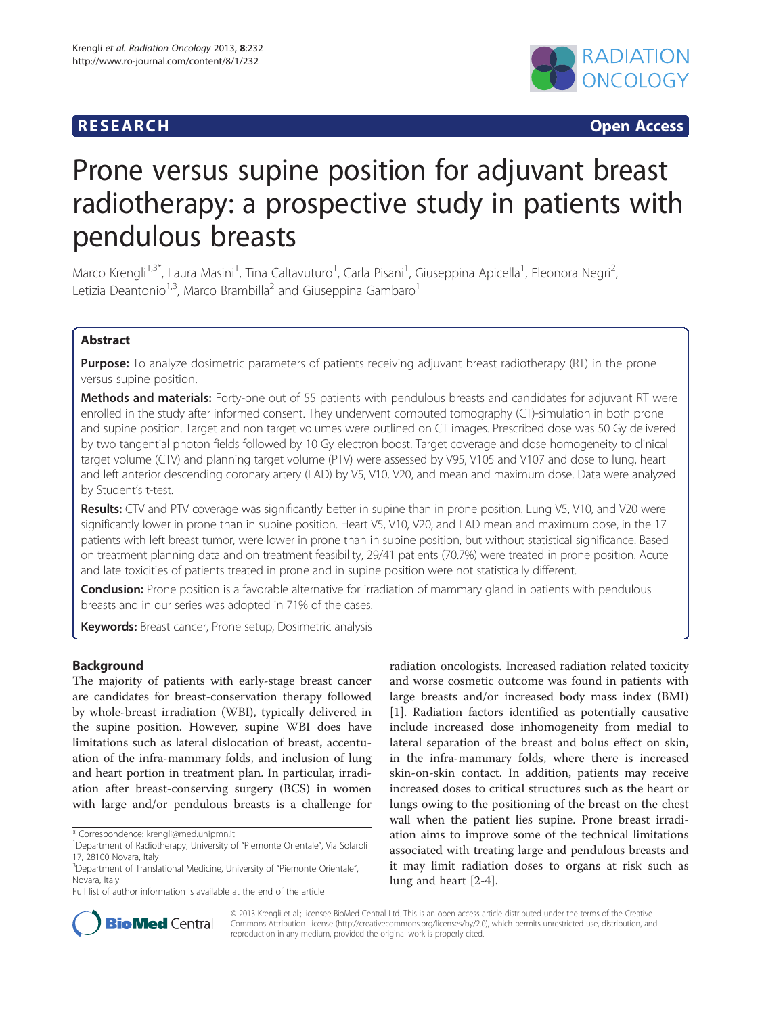## **RESEARCH CHINESE ARCH CHINESE ARCH CHINESE ARCH**



# Prone versus supine position for adjuvant breast radiotherapy: a prospective study in patients with pendulous breasts

Marco Krengli<sup>1,3\*</sup>, Laura Masini<sup>1</sup>, Tina Caltavuturo<sup>1</sup>, Carla Pisani<sup>1</sup>, Giuseppina Apicella<sup>1</sup>, Eleonora Negri<sup>2</sup> , Letizia Deantonio<sup>1,3</sup>, Marco Brambilla<sup>2</sup> and Giuseppina Gambaro<sup>1</sup>

## Abstract

**Purpose:** To analyze dosimetric parameters of patients receiving adjuvant breast radiotherapy (RT) in the prone versus supine position.

Methods and materials: Forty-one out of 55 patients with pendulous breasts and candidates for adjuvant RT were enrolled in the study after informed consent. They underwent computed tomography (CT)-simulation in both prone and supine position. Target and non target volumes were outlined on CT images. Prescribed dose was 50 Gy delivered by two tangential photon fields followed by 10 Gy electron boost. Target coverage and dose homogeneity to clinical target volume (CTV) and planning target volume (PTV) were assessed by V95, V105 and V107 and dose to lung, heart and left anterior descending coronary artery (LAD) by V5, V10, V20, and mean and maximum dose. Data were analyzed by Student's t-test.

Results: CTV and PTV coverage was significantly better in supine than in prone position. Lung V5, V10, and V20 were significantly lower in prone than in supine position. Heart V5, V10, V20, and LAD mean and maximum dose, in the 17 patients with left breast tumor, were lower in prone than in supine position, but without statistical significance. Based on treatment planning data and on treatment feasibility, 29/41 patients (70.7%) were treated in prone position. Acute and late toxicities of patients treated in prone and in supine position were not statistically different.

Conclusion: Prone position is a favorable alternative for irradiation of mammary gland in patients with pendulous breasts and in our series was adopted in 71% of the cases.

Keywords: Breast cancer, Prone setup, Dosimetric analysis

## Background

The majority of patients with early-stage breast cancer are candidates for breast-conservation therapy followed by whole-breast irradiation (WBI), typically delivered in the supine position. However, supine WBI does have limitations such as lateral dislocation of breast, accentuation of the infra-mammary folds, and inclusion of lung and heart portion in treatment plan. In particular, irradiation after breast-conserving surgery (BCS) in women with large and/or pendulous breasts is a challenge for

radiation oncologists. Increased radiation related toxicity and worse cosmetic outcome was found in patients with large breasts and/or increased body mass index (BMI) [[1\]](#page-5-0). Radiation factors identified as potentially causative include increased dose inhomogeneity from medial to lateral separation of the breast and bolus effect on skin, in the infra-mammary folds, where there is increased skin-on-skin contact. In addition, patients may receive increased doses to critical structures such as the heart or lungs owing to the positioning of the breast on the chest wall when the patient lies supine. Prone breast irradiation aims to improve some of the technical limitations associated with treating large and pendulous breasts and it may limit radiation doses to organs at risk such as lung and heart [[2-4](#page-5-0)].



© 2013 Krengli et al.; licensee BioMed Central Ltd. This is an open access article distributed under the terms of the Creative Commons Attribution License [\(http://creativecommons.org/licenses/by/2.0\)](http://creativecommons.org/licenses/by/2.0), which permits unrestricted use, distribution, and reproduction in any medium, provided the original work is properly cited.

<sup>\*</sup> Correspondence: [krengli@med.unipmn.it](mailto:krengli@med.unipmn.it) <sup>1</sup>

<sup>&</sup>lt;sup>1</sup>Department of Radiotherapy, University of "Piemonte Orientale", Via Solaroli 17, 28100 Novara, Italy

<sup>&</sup>lt;sup>3</sup>Department of Translational Medicine, University of "Piemonte Orientale", Novara, Italy

Full list of author information is available at the end of the article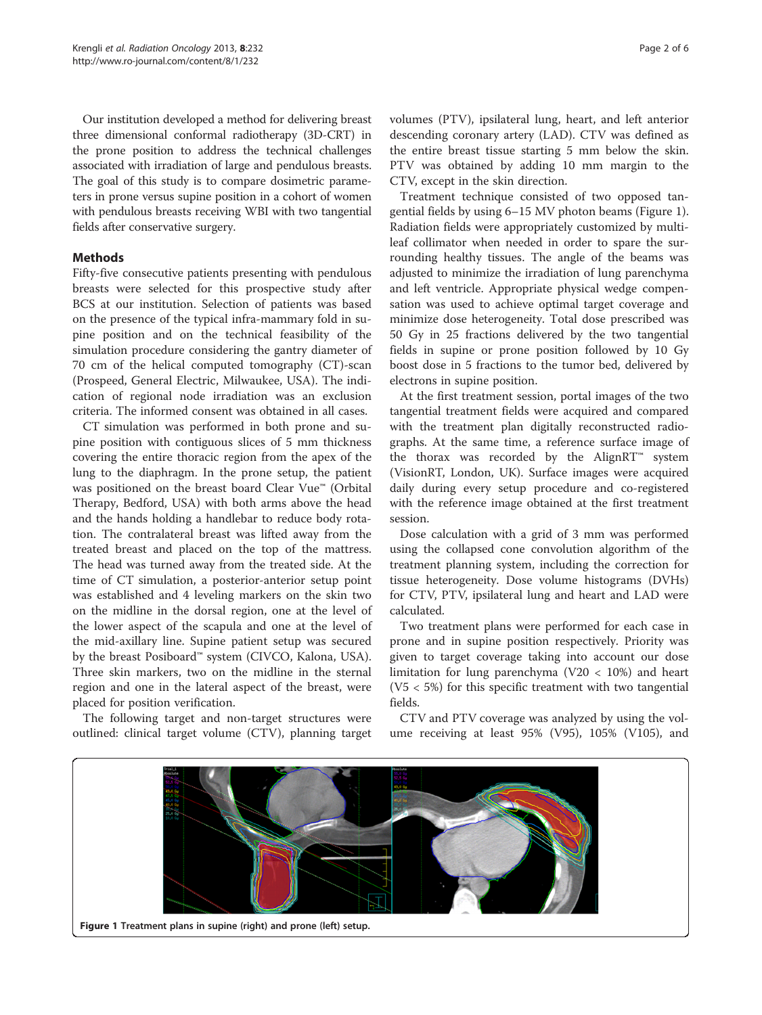Our institution developed a method for delivering breast three dimensional conformal radiotherapy (3D-CRT) in the prone position to address the technical challenges associated with irradiation of large and pendulous breasts. The goal of this study is to compare dosimetric parameters in prone versus supine position in a cohort of women with pendulous breasts receiving WBI with two tangential fields after conservative surgery.

## **Methods**

Fifty-five consecutive patients presenting with pendulous breasts were selected for this prospective study after BCS at our institution. Selection of patients was based on the presence of the typical infra-mammary fold in supine position and on the technical feasibility of the simulation procedure considering the gantry diameter of 70 cm of the helical computed tomography (CT)-scan (Prospeed, General Electric, Milwaukee, USA). The indication of regional node irradiation was an exclusion criteria. The informed consent was obtained in all cases.

CT simulation was performed in both prone and supine position with contiguous slices of 5 mm thickness covering the entire thoracic region from the apex of the lung to the diaphragm. In the prone setup, the patient was positioned on the breast board Clear Vue™ (Orbital Therapy, Bedford, USA) with both arms above the head and the hands holding a handlebar to reduce body rotation. The contralateral breast was lifted away from the treated breast and placed on the top of the mattress. The head was turned away from the treated side. At the time of CT simulation, a posterior-anterior setup point was established and 4 leveling markers on the skin two on the midline in the dorsal region, one at the level of the lower aspect of the scapula and one at the level of the mid-axillary line. Supine patient setup was secured by the breast Posiboard™ system (CIVCO, Kalona, USA). Three skin markers, two on the midline in the sternal region and one in the lateral aspect of the breast, were placed for position verification.

The following target and non-target structures were outlined: clinical target volume (CTV), planning target

Treatment technique consisted of two opposed tangential fields by using 6–15 MV photon beams (Figure 1). Radiation fields were appropriately customized by multileaf collimator when needed in order to spare the surrounding healthy tissues. The angle of the beams was adjusted to minimize the irradiation of lung parenchyma and left ventricle. Appropriate physical wedge compensation was used to achieve optimal target coverage and minimize dose heterogeneity. Total dose prescribed was 50 Gy in 25 fractions delivered by the two tangential fields in supine or prone position followed by 10 Gy boost dose in 5 fractions to the tumor bed, delivered by electrons in supine position.

At the first treatment session, portal images of the two tangential treatment fields were acquired and compared with the treatment plan digitally reconstructed radiographs. At the same time, a reference surface image of the thorax was recorded by the AlignRT<sup>™</sup> system (VisionRT, London, UK). Surface images were acquired daily during every setup procedure and co-registered with the reference image obtained at the first treatment session.

Dose calculation with a grid of 3 mm was performed using the collapsed cone convolution algorithm of the treatment planning system, including the correction for tissue heterogeneity. Dose volume histograms (DVHs) for CTV, PTV, ipsilateral lung and heart and LAD were calculated.

Two treatment plans were performed for each case in prone and in supine position respectively. Priority was given to target coverage taking into account our dose limitation for lung parenchyma (V20 < 10%) and heart  $(V5 < 5%)$  for this specific treatment with two tangential fields.

CTV and PTV coverage was analyzed by using the volume receiving at least 95% (V95), 105% (V105), and

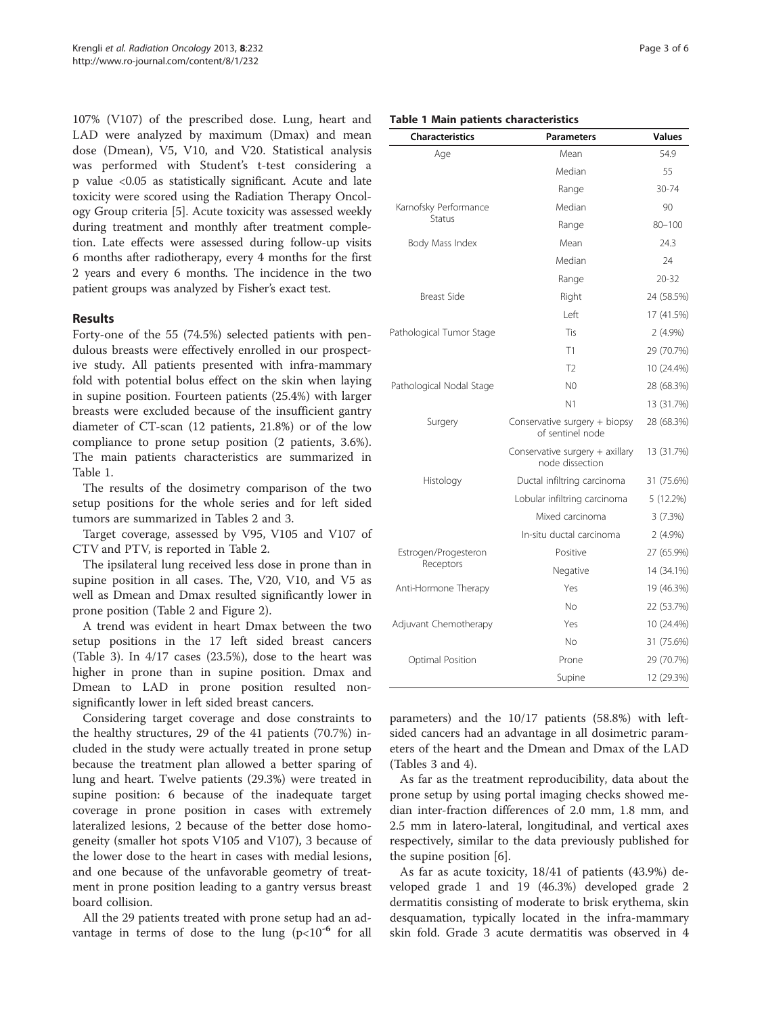107% (V107) of the prescribed dose. Lung, heart and LAD were analyzed by maximum (Dmax) and mean dose (Dmean), V5, V10, and V20. Statistical analysis was performed with Student's t-test considering a p value <0.05 as statistically significant. Acute and late toxicity were scored using the Radiation Therapy Oncology Group criteria [\[5](#page-5-0)]. Acute toxicity was assessed weekly during treatment and monthly after treatment completion. Late effects were assessed during follow-up visits 6 months after radiotherapy, every 4 months for the first 2 years and every 6 months. The incidence in the two patient groups was analyzed by Fisher's exact test.

## Results

Forty-one of the 55 (74.5%) selected patients with pendulous breasts were effectively enrolled in our prospective study. All patients presented with infra-mammary fold with potential bolus effect on the skin when laying in supine position. Fourteen patients (25.4%) with larger breasts were excluded because of the insufficient gantry diameter of CT-scan (12 patients, 21.8%) or of the low compliance to prone setup position (2 patients, 3.6%). The main patients characteristics are summarized in Table 1.

The results of the dosimetry comparison of the two setup positions for the whole series and for left sided tumors are summarized in Tables [2](#page-3-0) and [3.](#page-3-0)

Target coverage, assessed by V95, V105 and V107 of CTV and PTV, is reported in Table [2.](#page-3-0)

The ipsilateral lung received less dose in prone than in supine position in all cases. The, V20, V10, and V5 as well as Dmean and Dmax resulted significantly lower in prone position (Table [2](#page-3-0) and Figure [2](#page-4-0)).

A trend was evident in heart Dmax between the two setup positions in the 17 left sided breast cancers (Table [3](#page-3-0)). In 4/17 cases (23.5%), dose to the heart was higher in prone than in supine position. Dmax and Dmean to LAD in prone position resulted nonsignificantly lower in left sided breast cancers.

Considering target coverage and dose constraints to the healthy structures, 29 of the 41 patients (70.7%) included in the study were actually treated in prone setup because the treatment plan allowed a better sparing of lung and heart. Twelve patients (29.3%) were treated in supine position: 6 because of the inadequate target coverage in prone position in cases with extremely lateralized lesions, 2 because of the better dose homogeneity (smaller hot spots V105 and V107), 3 because of the lower dose to the heart in cases with medial lesions, and one because of the unfavorable geometry of treatment in prone position leading to a gantry versus breast board collision.

All the 29 patients treated with prone setup had an advantage in terms of dose to the lung  $(p<10^{-6}$  for all

| Table 1 Main patients characteristics |  |
|---------------------------------------|--|
|---------------------------------------|--|

| <b>Characteristics</b>   | <b>Parameters</b>                                  | <b>Values</b> |
|--------------------------|----------------------------------------------------|---------------|
| Age                      | Mean                                               |               |
|                          | Median                                             | 55            |
|                          | Range                                              | 30-74         |
| Karnofsky Performance    | Median                                             | 90            |
| <b>Status</b>            | Range                                              | $80 - 100$    |
| Body Mass Index          | Mean                                               | 24.3          |
|                          | Median                                             | 24            |
|                          | Range                                              | $20 - 32$     |
| <b>Breast Side</b>       | Right                                              | 24 (58.5%)    |
|                          | l eft                                              | 17 (41.5%)    |
| Pathological Tumor Stage | Tis                                                | 2 (4.9%)      |
|                          | T1                                                 | 29 (70.7%)    |
|                          | T <sub>2</sub>                                     | 10 (24.4%)    |
| Pathological Nodal Stage | N0                                                 | 28 (68.3%)    |
|                          | N1                                                 | 13 (31.7%)    |
| Surgery                  | Conservative surgery + biopsy<br>of sentinel node  | 28 (68.3%)    |
|                          | Conservative surgery + axillary<br>node dissection | 13 (31.7%)    |
| Histology                | Ductal infiltring carcinoma                        | 31 (75.6%)    |
|                          | Lobular infiltring carcinoma                       | 5 (12.2%)     |
|                          | Mixed carcinoma                                    | 3(7.3%)       |
|                          | In-situ ductal carcinoma                           | $2(4.9\%)$    |
| Estrogen/Progesteron     | Positive                                           | 27 (65.9%)    |
| Receptors                | Negative                                           | 14 (34.1%)    |
| Anti-Hormone Therapy     | Yes                                                | 19 (46.3%)    |
|                          | No                                                 | 22 (53.7%)    |
| Adjuvant Chemotherapy    | Yes                                                | 10 (24.4%)    |
|                          | <b>No</b>                                          | 31 (75.6%)    |
| Optimal Position         | Prone                                              | 29 (70.7%)    |
|                          | Supine                                             | 12 (29.3%)    |

parameters) and the 10/17 patients (58.8%) with leftsided cancers had an advantage in all dosimetric parameters of the heart and the Dmean and Dmax of the LAD (Tables [3](#page-3-0) and [4\)](#page-4-0).

As far as the treatment reproducibility, data about the prone setup by using portal imaging checks showed median inter-fraction differences of 2.0 mm, 1.8 mm, and 2.5 mm in latero-lateral, longitudinal, and vertical axes respectively, similar to the data previously published for the supine position [\[6](#page-5-0)].

As far as acute toxicity, 18/41 of patients (43.9%) developed grade 1 and 19 (46.3%) developed grade 2 dermatitis consisting of moderate to brisk erythema, skin desquamation, typically located in the infra-mammary skin fold. Grade 3 acute dermatitis was observed in 4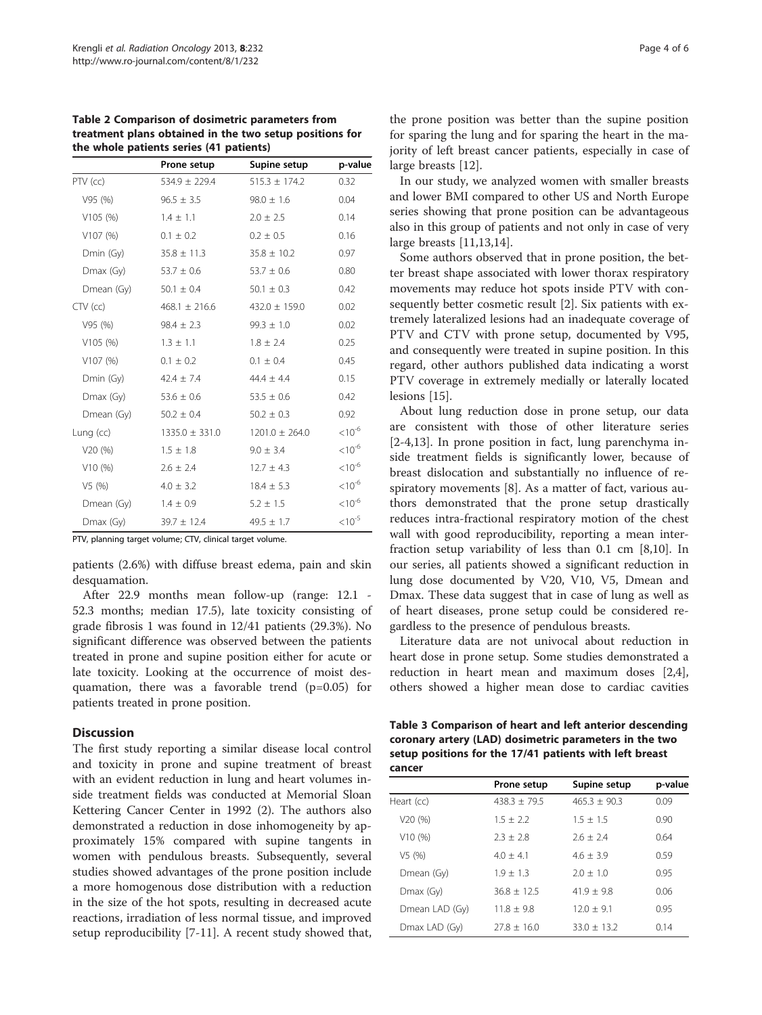<span id="page-3-0"></span>Table 2 Comparison of dosimetric parameters from treatment plans obtained in the two setup positions for the whole patients series (41 patients)

|            | Prone setup        | Supine setup       | p-value     |
|------------|--------------------|--------------------|-------------|
| PTV (cc)   | $534.9 \pm 229.4$  | $515.3 \pm 174.2$  | 0.32        |
| V95 (%)    | $96.5 \pm 3.5$     | $98.0 \pm 1.6$     | 0.04        |
| V105 (%)   | $1.4 \pm 1.1$      | $2.0 \pm 2.5$      | 0.14        |
| V107(%)    | $0.1 \pm 0.2$      | $0.2 \pm 0.5$      | 0.16        |
| Dmin (Gy)  | $35.8 \pm 11.3$    | $35.8 \pm 10.2$    | 0.97        |
| Dmax(Gy)   | $53.7 \pm 0.6$     | $53.7 \pm 0.6$     | 0.80        |
| Dmean (Gy) | $50.1 \pm 0.4$     | $50.1 \pm 0.3$     | 0.42        |
| CTV (cc)   | $468.1 \pm 216.6$  | $432.0 \pm 159.0$  | 0.02        |
| V95 (%)    | $98.4 \pm 2.3$     | $99.3 \pm 1.0$     | 0.02        |
| V105 (%)   | $1.3 \pm 1.1$      | $1.8 \pm 2.4$      | 0.25        |
| V107(%)    | $0.1 \pm 0.2$      | $0.1 \pm 0.4$      | 0.45        |
| Dmin (Gy)  | $42.4 \pm 7.4$     | $44.4 \pm 4.4$     | 0.15        |
| Dmax(Gy)   | $53.6 \pm 0.6$     | $53.5 \pm 0.6$     | 0.42        |
| Dmean (Gy) | $50.2 \pm 0.4$     | $50.2 \pm 0.3$     | 0.92        |
| Lung (cc)  | $1335.0 \pm 331.0$ | $1201.0 \pm 264.0$ | $< 10^{-6}$ |
| V20(%)     | $1.5 \pm 1.8$      | $9.0 \pm 3.4$      | $< 10^{-6}$ |
| V10(%)     | $2.6 \pm 2.4$      | $12.7 \pm 4.3$     | $< 10^{-6}$ |
| V5(%)      | $4.0 \pm 3.2$      | $18.4 \pm 5.3$     | $< 10^{-6}$ |
| Dmean (Gy) | $1.4 \pm 0.9$      | $5.2 \pm 1.5$      | $< 10^{-6}$ |
| Dmax (Gy)  | $39.7 \pm 12.4$    | $49.5 \pm 1.7$     | $< 10^{-5}$ |

PTV, planning target volume; CTV, clinical target volume.

patients (2.6%) with diffuse breast edema, pain and skin desquamation.

After 22.9 months mean follow-up (range: 12.1 - 52.3 months; median 17.5), late toxicity consisting of grade fibrosis 1 was found in 12/41 patients (29.3%). No significant difference was observed between the patients treated in prone and supine position either for acute or late toxicity. Looking at the occurrence of moist desquamation, there was a favorable trend  $(p=0.05)$  for patients treated in prone position.

## **Discussion**

The first study reporting a similar disease local control and toxicity in prone and supine treatment of breast with an evident reduction in lung and heart volumes inside treatment fields was conducted at Memorial Sloan Kettering Cancer Center in 1992 (2). The authors also demonstrated a reduction in dose inhomogeneity by approximately 15% compared with supine tangents in women with pendulous breasts. Subsequently, several studies showed advantages of the prone position include a more homogenous dose distribution with a reduction in the size of the hot spots, resulting in decreased acute reactions, irradiation of less normal tissue, and improved setup reproducibility [[7-11](#page-5-0)]. A recent study showed that,

the prone position was better than the supine position for sparing the lung and for sparing the heart in the majority of left breast cancer patients, especially in case of large breasts [\[12\]](#page-5-0).

In our study, we analyzed women with smaller breasts and lower BMI compared to other US and North Europe series showing that prone position can be advantageous also in this group of patients and not only in case of very large breasts [\[11,13,14\]](#page-5-0).

Some authors observed that in prone position, the better breast shape associated with lower thorax respiratory movements may reduce hot spots inside PTV with consequently better cosmetic result [\[2](#page-5-0)]. Six patients with extremely lateralized lesions had an inadequate coverage of PTV and CTV with prone setup, documented by V95, and consequently were treated in supine position. In this regard, other authors published data indicating a worst PTV coverage in extremely medially or laterally located lesions [\[15](#page-5-0)].

About lung reduction dose in prone setup, our data are consistent with those of other literature series [[2-4,13](#page-5-0)]. In prone position in fact, lung parenchyma inside treatment fields is significantly lower, because of breast dislocation and substantially no influence of respiratory movements [\[8](#page-5-0)]. As a matter of fact, various authors demonstrated that the prone setup drastically reduces intra-fractional respiratory motion of the chest wall with good reproducibility, reporting a mean interfraction setup variability of less than 0.1 cm [\[8,10\]](#page-5-0). In our series, all patients showed a significant reduction in lung dose documented by V20, V10, V5, Dmean and Dmax. These data suggest that in case of lung as well as of heart diseases, prone setup could be considered regardless to the presence of pendulous breasts.

Literature data are not univocal about reduction in heart dose in prone setup. Some studies demonstrated a reduction in heart mean and maximum doses [\[2,4](#page-5-0)], others showed a higher mean dose to cardiac cavities

| Table 3 Comparison of heart and left anterior descending |
|----------------------------------------------------------|
| coronary artery (LAD) dosimetric parameters in the two   |
| setup positions for the 17/41 patients with left breast  |
| cancer                                                   |

|                   | Prone setup    | Supine setup   | p-value |
|-------------------|----------------|----------------|---------|
| Heart (cc)        | $438.3 + 79.5$ | $465.3 + 90.3$ | 0.09    |
| V20(%)            | $1.5 + 2.2$    | $1.5 + 1.5$    | 0.90    |
| V10(%)            | $2.3 + 2.8$    | $2.6 + 2.4$    | 0.64    |
| V5(%)             | $4.0 + 4.1$    | $4.6 + 3.9$    | 0.59    |
| Dmean (Gy)        | $1.9 + 1.3$    | $2.0 + 1.0$    | 0.95    |
| Dmax(Gv)          | $36.8 + 12.5$  | $41.9 + 9.8$   | 0.06    |
| Dmean LAD (Gy)    | $11.8 + 9.8$   | $12.0 + 9.1$   | 0.95    |
| $Dmax$ LAD $(Gy)$ | $77.8 + 16.0$  | $33.0 + 13.2$  | 0.14    |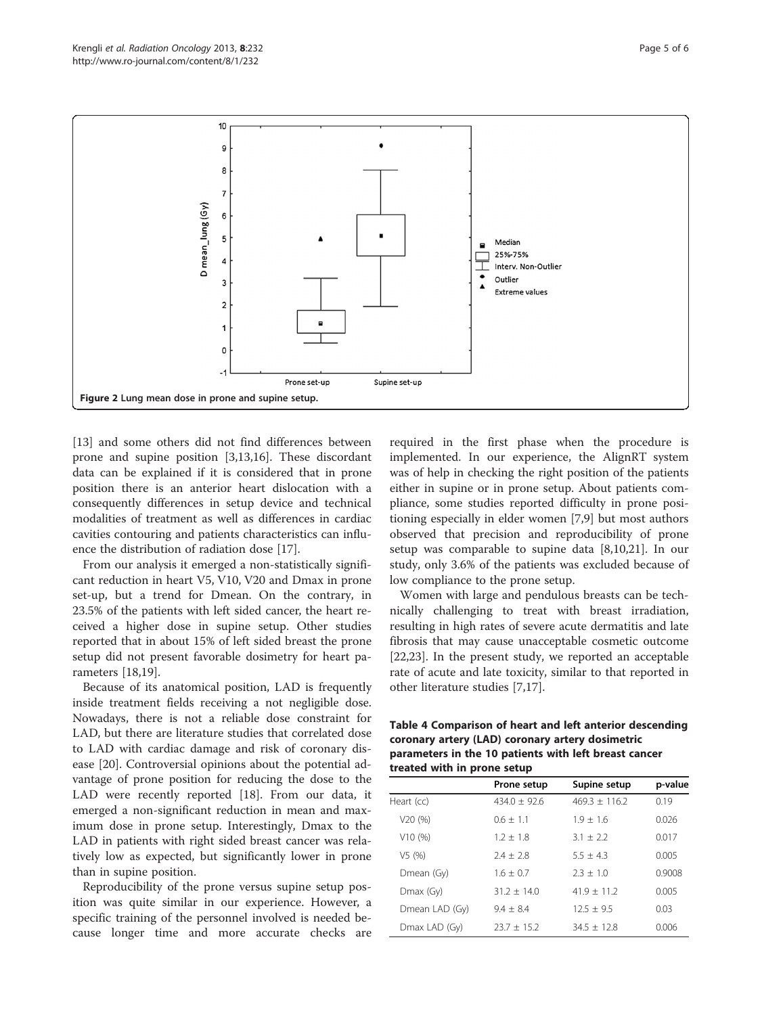

<span id="page-4-0"></span>

[[13\]](#page-5-0) and some others did not find differences between prone and supine position [[3,13,16\]](#page-5-0). These discordant data can be explained if it is considered that in prone position there is an anterior heart dislocation with a consequently differences in setup device and technical modalities of treatment as well as differences in cardiac cavities contouring and patients characteristics can influence the distribution of radiation dose [[17](#page-5-0)].

From our analysis it emerged a non-statistically significant reduction in heart V5, V10, V20 and Dmax in prone set-up, but a trend for Dmean. On the contrary, in 23.5% of the patients with left sided cancer, the heart received a higher dose in supine setup. Other studies reported that in about 15% of left sided breast the prone setup did not present favorable dosimetry for heart parameters [\[18,19](#page-5-0)].

Because of its anatomical position, LAD is frequently inside treatment fields receiving a not negligible dose. Nowadays, there is not a reliable dose constraint for LAD, but there are literature studies that correlated dose to LAD with cardiac damage and risk of coronary disease [\[20](#page-5-0)]. Controversial opinions about the potential advantage of prone position for reducing the dose to the LAD were recently reported [\[18](#page-5-0)]. From our data, it emerged a non-significant reduction in mean and maximum dose in prone setup. Interestingly, Dmax to the LAD in patients with right sided breast cancer was relatively low as expected, but significantly lower in prone than in supine position.

Reproducibility of the prone versus supine setup position was quite similar in our experience. However, a specific training of the personnel involved is needed because longer time and more accurate checks are

required in the first phase when the procedure is implemented. In our experience, the AlignRT system was of help in checking the right position of the patients either in supine or in prone setup. About patients compliance, some studies reported difficulty in prone positioning especially in elder women [\[7,9](#page-5-0)] but most authors observed that precision and reproducibility of prone setup was comparable to supine data [\[8,10,21](#page-5-0)]. In our study, only 3.6% of the patients was excluded because of low compliance to the prone setup.

Women with large and pendulous breasts can be technically challenging to treat with breast irradiation, resulting in high rates of severe acute dermatitis and late fibrosis that may cause unacceptable cosmetic outcome [[22,23\]](#page-5-0). In the present study, we reported an acceptable rate of acute and late toxicity, similar to that reported in other literature studies [[7,17\]](#page-5-0).

Table 4 Comparison of heart and left anterior descending coronary artery (LAD) coronary artery dosimetric parameters in the 10 patients with left breast cancer treated with in prone setup

|                | Prone setup      | Supine setup    | p-value |
|----------------|------------------|-----------------|---------|
| Heart (cc)     | $434.0 \pm 92.6$ | $469.3 + 116.2$ | 0.19    |
| V20(%)         | $0.6 + 1.1$      | $1.9 + 1.6$     | 0026    |
| V10(%)         | $1.2 \pm 1.8$    | $3.1 + 2.2$     | 0.017   |
| V5(%)          | $7.4 + 7.8$      | $5.5 + 4.3$     | 0.005   |
| Dmean (Gy)     | $1.6 + 0.7$      | $2.3 + 1.0$     | 0.9008  |
| Dmax(Gv)       | $31.2 + 14.0$    | $41.9 + 11.2$   | 0.005   |
| Dmean LAD (Gy) | $9.4 + 8.4$      | $12.5 \pm 9.5$  | 0.03    |
| Dmax LAD (Gy)  | $23.7 \pm 15.2$  | $34.5 + 12.8$   | 0.006   |